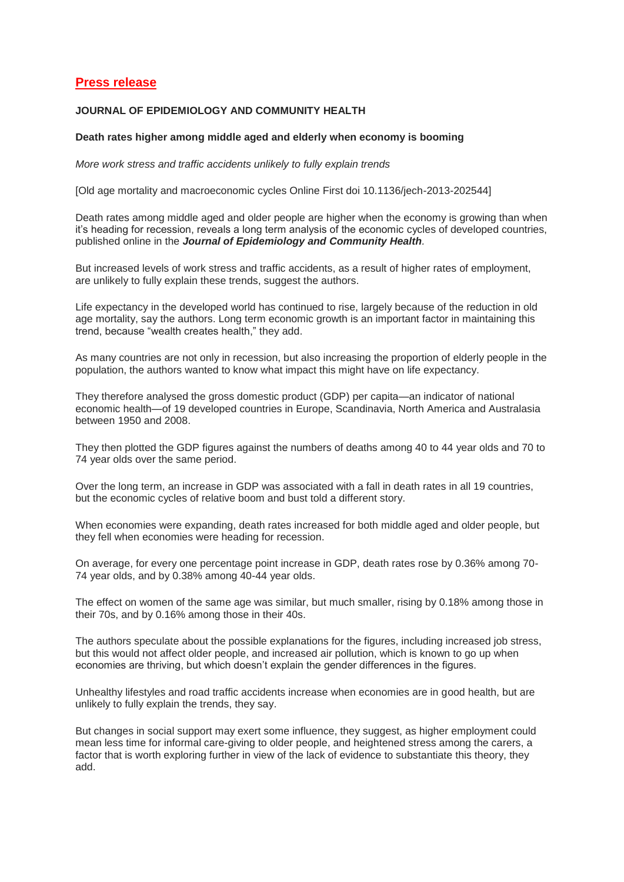## **Press release**

## **JOURNAL OF EPIDEMIOLOGY AND COMMUNITY HEALTH**

## **Death rates higher among middle aged and elderly when economy is booming**

*More work stress and traffic accidents unlikely to fully explain trends*

[Old age mortality and macroeconomic cycles Online First doi 10.1136/jech-2013-202544]

Death rates among middle aged and older people are higher when the economy is growing than when it's heading for recession, reveals a long term analysis of the economic cycles of developed countries, published online in the *Journal of Epidemiology and Community Health.*

But increased levels of work stress and traffic accidents, as a result of higher rates of employment, are unlikely to fully explain these trends, suggest the authors.

Life expectancy in the developed world has continued to rise, largely because of the reduction in old age mortality, say the authors. Long term economic growth is an important factor in maintaining this trend, because "wealth creates health," they add.

As many countries are not only in recession, but also increasing the proportion of elderly people in the population, the authors wanted to know what impact this might have on life expectancy.

They therefore analysed the gross domestic product (GDP) per capita—an indicator of national economic health—of 19 developed countries in Europe, Scandinavia, North America and Australasia between 1950 and 2008.

They then plotted the GDP figures against the numbers of deaths among 40 to 44 year olds and 70 to 74 year olds over the same period.

Over the long term, an increase in GDP was associated with a fall in death rates in all 19 countries, but the economic cycles of relative boom and bust told a different story.

When economies were expanding, death rates increased for both middle aged and older people, but they fell when economies were heading for recession.

On average, for every one percentage point increase in GDP, death rates rose by 0.36% among 70- 74 year olds, and by 0.38% among 40-44 year olds.

The effect on women of the same age was similar, but much smaller, rising by 0.18% among those in their 70s, and by 0.16% among those in their 40s.

The authors speculate about the possible explanations for the figures, including increased job stress, but this would not affect older people, and increased air pollution, which is known to go up when economies are thriving, but which doesn't explain the gender differences in the figures.

Unhealthy lifestyles and road traffic accidents increase when economies are in good health, but are unlikely to fully explain the trends, they say.

But changes in social support may exert some influence, they suggest, as higher employment could mean less time for informal care-giving to older people, and heightened stress among the carers, a factor that is worth exploring further in view of the lack of evidence to substantiate this theory, they add.